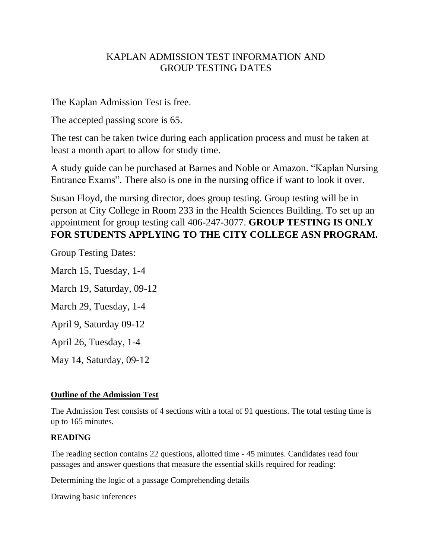# KAPLAN ADMISSION TEST INFORMATION AND GROUP TESTING DATES

The Kaplan Admission Test is free.

The accepted passing score is 65.

The test can be taken twice during each application process and must be taken at least a month apart to allow for study time.

A study guide can be purchased at Barnes and Noble or Amazon. "Kaplan Nursing Entrance Exams". There also is one in the nursing office if want to look it over.

Susan Floyd, the nursing director, does group testing. Group testing will be in person at City College in Room 233 in the Health Sciences Building. To set up an appointment for group testing call 406-247-3077. **GROUP TESTING IS ONLY FOR STUDENTS APPLYING TO THE CITY COLLEGE ASN PROGRAM.**

Group Testing Dates:

March 15, Tuesday, 1-4

March 19, Saturday, 09-12

March 29, Tuesday, 1-4

April 9, Saturday 09-12

April 26, Tuesday, 1-4

May 14, Saturday, 09-12

# **Outline of the Admission Test**

The Admission Test consists of 4 sections with a total of 91 questions. The total testing time is up to 165 minutes.

## **READING**

The reading section contains 22 questions, allotted time - 45 minutes. Candidates read four passages and answer questions that measure the essential skills required for reading:

Determining the logic of a passage Comprehending details

Drawing basic inferences